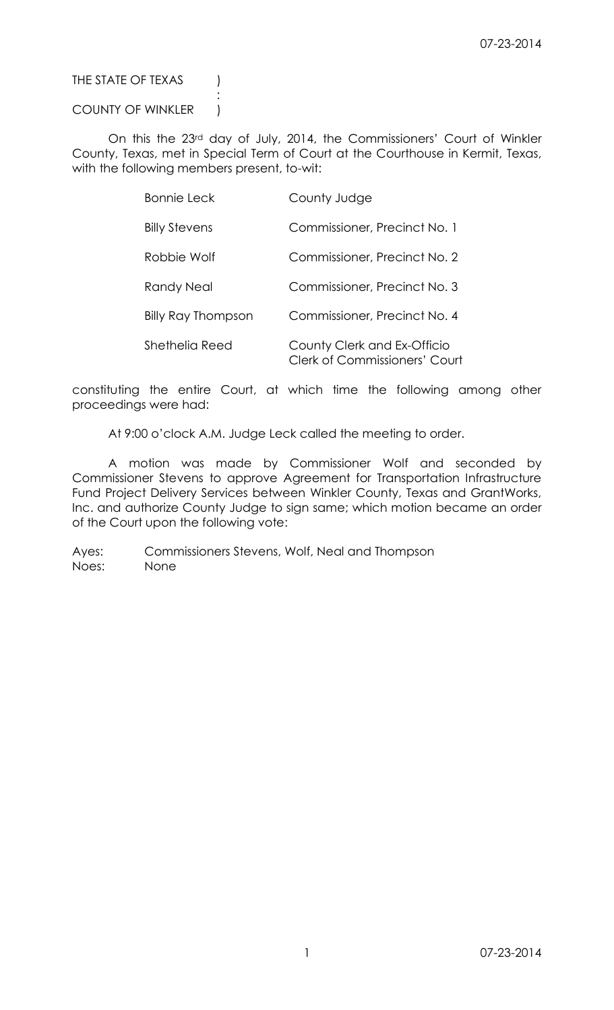# THE STATE OF TEXAS (

## COUNTY OF WINKLER |

:

On this the 23rd day of July, 2014, the Commissioners' Court of Winkler County, Texas, met in Special Term of Court at the Courthouse in Kermit, Texas, with the following members present, to-wit:

| <b>Bonnie Leck</b>        | County Judge                                                        |
|---------------------------|---------------------------------------------------------------------|
| <b>Billy Stevens</b>      | Commissioner, Precinct No. 1                                        |
| Robbie Wolf               | Commissioner, Precinct No. 2                                        |
| Randy Neal                | Commissioner, Precinct No. 3                                        |
| <b>Billy Ray Thompson</b> | Commissioner, Precinct No. 4                                        |
| Shethelia Reed            | County Clerk and Ex-Officio<br><b>Clerk of Commissioners' Court</b> |

constituting the entire Court, at which time the following among other proceedings were had:

At 9:00 o'clock A.M. Judge Leck called the meeting to order.

A motion was made by Commissioner Wolf and seconded by Commissioner Stevens to approve Agreement for Transportation Infrastructure Fund Project Delivery Services between Winkler County, Texas and GrantWorks, Inc. and authorize County Judge to sign same; which motion became an order of the Court upon the following vote:

Ayes: Commissioners Stevens, Wolf, Neal and Thompson Noes: None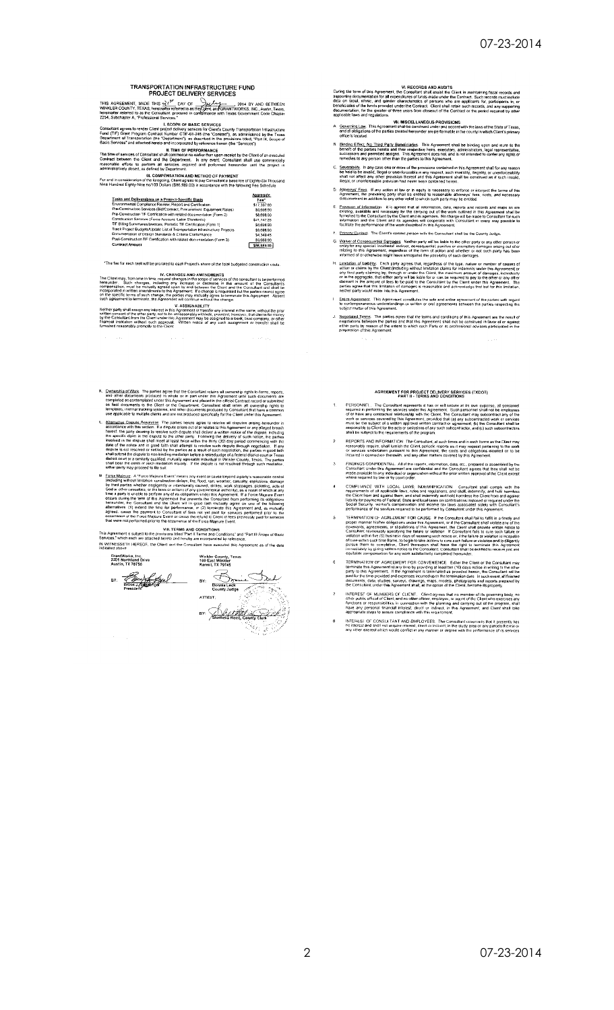hereinafte

**TRANSPORTATION INFRASTRUCTURE FUND<br>PROJECT DELIVERY SERVICES<br>
MENT, MADE THIS**  $S^{1/2^{\infty}}$  **ONY OF**  $\frac{1}{2}$  **(** $\frac{1}{2}$ **,**  $\frac{1}{2}$ **,**  $\frac{1}{2}$ **,**  $\frac{1}{2}$ **,**  $\frac{1}{2}$ **,**  $\frac{1}{2}$ **,**  $\frac{1}{2}$ **,**  $\frac{1}{2}$ **,**  $\frac{1}{2}$ **,**  $\frac{1}{2}$ **,** 

basic services and analone of the Concrete by reference herein (the "Services").<br>The time of services of Constitute in the CF restriction and contract between the Citer of an excepted Constant shall comment on exactle them

| Tasks and Deliverables on a Project-Specific Basis                          | Aggregate<br>Fee <sup>+</sup> |
|-----------------------------------------------------------------------------|-------------------------------|
| Environmental Compliance Review, Report and Certification                   | \$17.397.80                   |
| Pre-Construction Services (Bid/Contract, Procurement, Equipment Rates)      | \$8,698.90                    |
| Pre-Construction TIF Certification with related documentation (Form 2)      | \$8,698.90                    |
| Construction Services (Force Account, Labor Standards)                      | \$21,747.25                   |
| TIF Billing Summanes/Invoices, Periodic TIF Certification (Form 1)          | \$8,698.90                    |
| Track Project Budgets/Update List of Transportation Infrastructure Projects | \$5,698.90                    |
| Documentation of Design Standards & Criteria Conformance                    | \$4,349.45                    |
| Post-Construction TIF Certification with related documentation (Form 3)     | 56.69B.90                     |
| <b>Contract Amount</b>                                                      | \$86,989.00                   |

### \*The fee for each task will be prorated to each Project's share of the total budgeted construction costs.

Inc. Client may, from time in line, request changes in the socioe startings of the consultant to be performed<br>hereunder. Such changes in the society of a series of discussions of the consultant to be consultant<br>to ecomponi

ented to the constraints and the construction of the change.<br>The party shall assign any interest in this Agreement or transfer any interest in the same, without the prior<br>the consent of the chine trainty, not to be unrespo

- Competiship of Work. The parties agree that the Consultant retains all connecting rights to forms, reported of the competition in whole or in part under this Agreement unit is such competition in computed on contemplated u
- Alternative Dispute Resolution The parties hereto agree to resolve all disputes arising hereunder in<br>accordance with this section. If a dispute arises out of or relates to this Agreement or any alleged breach accordance with this section. If a dispute antises out of or relates to this Agreement on the party december of the party december of the party december of the party december of the model of the party of such that is poss t man<br>a non-binding<br>y qualified, m<br>vcb mediatic<br>f to file suit
- either party may proceed to lie util<br>
Event Means any event or cause beyond a party s reasonal<br>
<u>Event Meanut</u> Event Means any event or cause beyond a party s reasonal<br>
<u>Including</u> without limitation construction delays, f

VIII. TERMS AND CONDITIONS<br>This Agreement is subject to the provisors little them in and Conditions' and "Part III Scope of Basic<br>Servers," which each we stached hereto and hereby are moorporated by reference.<br>IN WITNESSET

bits back we stached network.<br>
itch each we stached network.<br>
Windler County, Texas<br>
When Inc.<br>
Notice 1.1 HEREOF, the Clent and the Consider Network.<br>
A North Land Dive<br>
Inc. 2.1 Here is a state of the County of the Coun GrantWorks, Inc.<br>2201 Northland Drive<br>Austin, TX 78756 BY: And Hall County Clerk itan ing

UI. RECORDS AND AUDITS<br>During the term of this Agreement, the Consultant shall assist the Client in maintaining fiscal records and<br>station recoil, ethnic, and generalizers of funds made under the Contract. Such records mus

- The community of the AMERICAN CONSIDER ROWSIONS<br>A <u>Governing Law</u> This Agreement shall be construed under and accord with the laws of the State of Texas,<br>and all obligations of the parties created hereunder are performable
- Effect<u>, No. Third, Party Beneficiaries</u> . This Agreement shall be binding upon and<br>if the parties hereto and their respective heris, executions, administrators, legal repr<br>ors and permitted assigns. This Agreement does no
- C. Severabliky. In any case one or more of the provisions contained in this Agreement shall for any reason<br>be held to be invalid. This allowed the more of the provisions contained in this Agreement shall for any reason<br>be
- 
- E. Provision of Information II is agreed that all information, data, reports and records and methods and methods and receivers of the certain of the control of the work culture in this Agreement furnal property. The contro
- F Luiman selections<br>
C. Walver of Consequential Damages. Nether party will be liable to the other party or any other person or<br>
critic yor any special incidental authorities ontespecifiel, pumilive or exemplory damages a
- informed or or conserves may have annipoperal the prossibility of such deemans to make the transfer of causes of the type. The Cambridge with the particles of the type. The Cambridge with a strip of the spectral of the spe
- Entire Agreement. This Agreement constitutes the sole and antire agreement of the parties with regard<br>to contemporaneous understandings or written or oral agreements between the parties respecting the<br>subject metter of thi
- J. Regotiated Terms. The parties agree that the terms and conditions of this Agreement are the result of<br>negotiations between the parties and that this Agreement shall not be construed in favor of or against<br>either party b

## AGREEMENT FOR PROJECT DELIVERY SERVICES (TXDOT)<br>PART II - TERMS AND CONDITIONS

- PERSONNEL. The Consultant memetatic has on will secure at its own experime, all required in performing the services under this Agreement. Such parameters and of other any constraint in the performance of the approximation
- and the exercise of the Constant The Consultant, at such times and in such forms as the Client may<br>respond to provide the film in the Client position. Constant in the responding the the work<br>of services undertaken pursuant  $\overline{z}$
- FINDINGS CONFIDENTIAL. All of the reports, information, data, etc., prepared or assembled<br>Consultant under this Agreement are confidential and the Consultant agrees that they shall<br>made available to any individual or organ  $\overline{\mathbf{3}}$ by the<br>not be
- COMPILIANCE WITH LOCAL LAVAS: INDEVINIEICATION. Consultant shall comply<br>requirements of all applicable lawy, rules and regulations and shall meterinity and heliterations of all applicable lawy, rules and the discrete the C  $\overline{\phantom{a}}$
- PERIMINATION OF A GER EMENT FOR CAUSE. If the Constation shall fail to fulfil in a TERMINATION OF ACEL EMENT FOR CAUSE. If the Constation shall fail to fulfil in a constant chall fail to fulfil in a constant of the Acceler  $\mathsf{s}$
- TERMINATION OF AGREEMENT FOR CONVENIENCE. Either the Client or the Consultant may be responsed to the Consultant may provide the state of the Consultant may private the material. If the Agreement is terminated as provided  $\epsilon$
- INTEREST OF MEMBERS OF CLIENT. Client agrees that no member of its governing body, no<br>other public official of Client, particularly in the propose that no member of its governing body, no<br>functions or responsibilities in c  $\bar{z}$
- INTERES), OF CONSULTANT AND BMPLOYEES. The Consultant covenants that it presently has<br>no interest and shall not acquire interest, direct or indirect, in the study area or any parcels therein o<br>any titler interest which wou  $\ddot{\mathbf{8}}$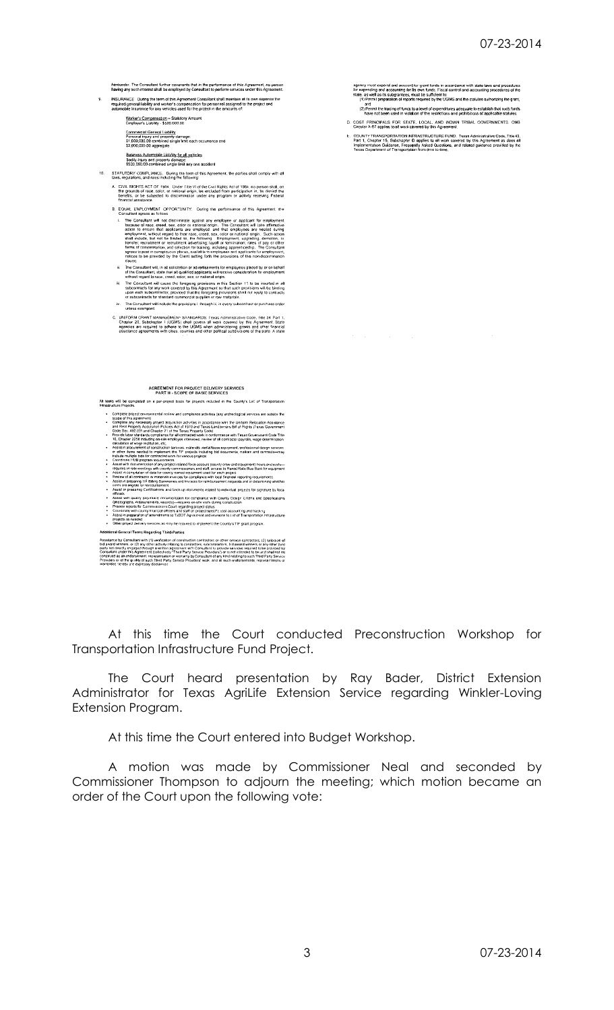| 9  | hereunder. The Consultant further covenants that in the performance of this Agreement, no person<br>having any such interest shall be employed by Consultant to perform services under this Agreement.<br>INSURANCE During the term of this Agreement Consultant shall maintain at its own expense the<br>required general liability and worker's compensation for personnel assigned to the project and<br>automobile insurance for any vehicles used for the project in the amounts of:<br>Worker's Compensation - Statulory Amount<br>Employer's Liability - \$500.000.00<br>Commercial General Liability<br>Personal injury and property damage:<br>\$1,000,000.00 combined single limit each occurrence and<br>\$2,000,000.00 aggregate<br>Business Automobile Liability for all vehicles<br>Bodily Injury and property damage:<br>\$500,000.00 combined single limit any one accident                                                                                                                                                                                                                                                                                                                                                                                                                                                                                                                                                                                                                                                                                                                                                                                                                                                                                                                                                                                                                                                                                                                                                                                                                                                                                                                                                                                                                                                                                                                                                                   | agency must expend and account for grant funds in accordance with state laws and procedures<br>for expending and accounting for Its own funds. Fiscal control and accounting procedures of the<br>state, as well as its subgrantees, must be sufficient to:<br>(1) Permit preparation of reports required by the UGMS and the statutes authorizing the grant,<br>and<br>(2) Permit the tracing of funds to a level of expenditures adequate to establish that such funds<br>have not been used in violation of the restrictions and prohibitions of applicable statutes.<br>D. COST PRINCIPALS FOR STATE, LOCAL, AND INDIAN TRIBAL GOVERNMENTS. OMB<br>Circular A-87 applies to all work covered by this Agreement.<br>E. COUNTY TRANSPORTATION INFRASTRUCTURE FUND. Texas Administrative Code, Title 43,<br>Part 1, Chapter 15, Subchapter O applies to all work covered by this Agreement as does all<br>Implementation Guidance, Frequently Asked Questions, and related guidance provided by the<br>Texas Department of Transportation from time to time. |
|----|---------------------------------------------------------------------------------------------------------------------------------------------------------------------------------------------------------------------------------------------------------------------------------------------------------------------------------------------------------------------------------------------------------------------------------------------------------------------------------------------------------------------------------------------------------------------------------------------------------------------------------------------------------------------------------------------------------------------------------------------------------------------------------------------------------------------------------------------------------------------------------------------------------------------------------------------------------------------------------------------------------------------------------------------------------------------------------------------------------------------------------------------------------------------------------------------------------------------------------------------------------------------------------------------------------------------------------------------------------------------------------------------------------------------------------------------------------------------------------------------------------------------------------------------------------------------------------------------------------------------------------------------------------------------------------------------------------------------------------------------------------------------------------------------------------------------------------------------------------------------------------------------------------------------------------------------------------------------------------------------------------------------------------------------------------------------------------------------------------------------------------------------------------------------------------------------------------------------------------------------------------------------------------------------------------------------------------------------------------------------------------------------------------------------------------------------------------------|---------------------------------------------------------------------------------------------------------------------------------------------------------------------------------------------------------------------------------------------------------------------------------------------------------------------------------------------------------------------------------------------------------------------------------------------------------------------------------------------------------------------------------------------------------------------------------------------------------------------------------------------------------------------------------------------------------------------------------------------------------------------------------------------------------------------------------------------------------------------------------------------------------------------------------------------------------------------------------------------------------------------------------------------------------------|
| 10 | STATUTORY COMPLIANCE. During the term of this Agreement, the parties shall comply with all<br>laws, regulations, and rules including the following:<br>A. CIVIL RIGHTS ACT OF 1964. Under Title VI of the Civil Rights Act of 1964, no person shall, on                                                                                                                                                                                                                                                                                                                                                                                                                                                                                                                                                                                                                                                                                                                                                                                                                                                                                                                                                                                                                                                                                                                                                                                                                                                                                                                                                                                                                                                                                                                                                                                                                                                                                                                                                                                                                                                                                                                                                                                                                                                                                                                                                                                                       |                                                                                                                                                                                                                                                                                                                                                                                                                                                                                                                                                                                                                                                                                                                                                                                                                                                                                                                                                                                                                                                               |
|    | the grounds of race, color, or national origin, be excluded from participation in, be denied the<br>benefits, or be subjected to discrimination under any program or activity receiving Federal<br>financial assistance                                                                                                                                                                                                                                                                                                                                                                                                                                                                                                                                                                                                                                                                                                                                                                                                                                                                                                                                                                                                                                                                                                                                                                                                                                                                                                                                                                                                                                                                                                                                                                                                                                                                                                                                                                                                                                                                                                                                                                                                                                                                                                                                                                                                                                       |                                                                                                                                                                                                                                                                                                                                                                                                                                                                                                                                                                                                                                                                                                                                                                                                                                                                                                                                                                                                                                                               |
|    | B. EQUAL EMPLOYMENT OPPORTUNITY. During the performance of this Agreement. the<br>Consultant agrees as follows<br>The Consultant will not discriminate against any employee or applicant for employment<br>because of race, creed, sex, color or national origin. The Consultant will lake affirmative<br>action to ensure that applicants are employed, and that employees are treated during<br>employment, without regard to their race, creed, sex, color or national origin. Such action<br>shall include, but not be limited to, the following Employment, upgrading, demotion, or<br>transfer; recruitment or recruitment advertising; layoff or fornunation; rates of pay or other<br>forms of compensation, and selection for training, including apprenticeship. The Consultant<br>agrees to post in conspicuous places, available to employees and applicants for employment,<br>notices to be provided by the Client setting forth the provisions of this non-discrimination.<br>clause.                                                                                                                                                                                                                                                                                                                                                                                                                                                                                                                                                                                                                                                                                                                                                                                                                                                                                                                                                                                                                                                                                                                                                                                                                                                                                                                                                                                                                                                          |                                                                                                                                                                                                                                                                                                                                                                                                                                                                                                                                                                                                                                                                                                                                                                                                                                                                                                                                                                                                                                                               |
|    | The Consultant will, in all solicitation or advertisements for employees placed by or on behalf<br>ü.<br>of the Consultant, state that all qualified applicants will receive consideration for entoloyment<br>without regard to race, creed, color, sex, or national origin.<br>The Consultant will cause the foregoing provisions in this Section 11 to be insurted in all<br>iti.                                                                                                                                                                                                                                                                                                                                                                                                                                                                                                                                                                                                                                                                                                                                                                                                                                                                                                                                                                                                                                                                                                                                                                                                                                                                                                                                                                                                                                                                                                                                                                                                                                                                                                                                                                                                                                                                                                                                                                                                                                                                           |                                                                                                                                                                                                                                                                                                                                                                                                                                                                                                                                                                                                                                                                                                                                                                                                                                                                                                                                                                                                                                                               |
|    | subcontracts for any work covered by this Agreement so that such provisions will be binding<br>upon each subcontractor, provided that the foregoing provisions shall not apply to contracts<br>or subcontracts for standard commercial supplies or raw materials.<br>The Consultant will include the provisions il through iii, in every subcontract or purchase order                                                                                                                                                                                                                                                                                                                                                                                                                                                                                                                                                                                                                                                                                                                                                                                                                                                                                                                                                                                                                                                                                                                                                                                                                                                                                                                                                                                                                                                                                                                                                                                                                                                                                                                                                                                                                                                                                                                                                                                                                                                                                        |                                                                                                                                                                                                                                                                                                                                                                                                                                                                                                                                                                                                                                                                                                                                                                                                                                                                                                                                                                                                                                                               |
|    | unless exempted.<br>C. UNIFORM GRANT MANAGEMEN® STANDARDS. Fexas Administrative Code, Title 34, Part 1,<br>Chapter 20, Subchapter I (UGMS) shall govern all work covered by this Agreement. State<br>agencies are required to adhere to the UGMS when administering grants and other financial<br>assistance agreements with cities, counties and other political subdivisions of the state. A state                                                                                                                                                                                                                                                                                                                                                                                                                                                                                                                                                                                                                                                                                                                                                                                                                                                                                                                                                                                                                                                                                                                                                                                                                                                                                                                                                                                                                                                                                                                                                                                                                                                                                                                                                                                                                                                                                                                                                                                                                                                          |                                                                                                                                                                                                                                                                                                                                                                                                                                                                                                                                                                                                                                                                                                                                                                                                                                                                                                                                                                                                                                                               |
|    | AGREEMENT FOR PROJECT DELIVERY SERVICES<br><b>PART III - SCOPE OF BASIC SERVICES</b>                                                                                                                                                                                                                                                                                                                                                                                                                                                                                                                                                                                                                                                                                                                                                                                                                                                                                                                                                                                                                                                                                                                                                                                                                                                                                                                                                                                                                                                                                                                                                                                                                                                                                                                                                                                                                                                                                                                                                                                                                                                                                                                                                                                                                                                                                                                                                                          |                                                                                                                                                                                                                                                                                                                                                                                                                                                                                                                                                                                                                                                                                                                                                                                                                                                                                                                                                                                                                                                               |
|    | All tasks will be completed on a per-project basis for projects included in the County's List of Transportation<br>Infrastructure Projects                                                                                                                                                                                                                                                                                                                                                                                                                                                                                                                                                                                                                                                                                                                                                                                                                                                                                                                                                                                                                                                                                                                                                                                                                                                                                                                                                                                                                                                                                                                                                                                                                                                                                                                                                                                                                                                                                                                                                                                                                                                                                                                                                                                                                                                                                                                    |                                                                                                                                                                                                                                                                                                                                                                                                                                                                                                                                                                                                                                                                                                                                                                                                                                                                                                                                                                                                                                                               |
|    | Complete project environmental review and compliance activities (any archeological services are outside the<br>scope of this agreement)<br>Complete any necessary project acquisition achieftes in accordance with the Uniform Relocation Assistance<br>and Real Property Acquisition Policies Act of 1970 and Texas Landowners Bill of Rights (Texas Government<br>Code Sec. 402.031 and Chapter 21 of the Texas Property Code)<br>Provide labor standards compliance for all contracted work in conformance with Texas Government Code Title<br>10, Chapter 2258 including on-sile employee interviews, review of all contractor payrolls, wage determination<br>calculation of wage restitution, etc.<br>Assist in procurement of construction services, materials rental/tease equipment, professional design services<br>or other items needed to implement the TIF projects including bid documents, notices and contracts-imay<br>include multiple bids for contracted work for various projects.<br>Coordinate HUB program requirements<br>Assist with documentation of any project-related force account (county crow and equipment) hours and costs-<br>Assist in compilation of data for county owned equipment used for each project<br>Review of all contractor or materials invoices for compliance with local financial reporting requirements<br>Assist in prepanng I IF Billing Summaries and Invoices for reimbursement requests and in determining whether<br>costs are eligible for reimbursement.<br>Assist in preparing Certifications and back-up documents related to individual projects for signature by local<br>officials<br>Assist with quality assimance itorumentation for compliance with County Design Criteria and Specifications<br>(photographs, measurements, records)—requires on-site visits during construction<br>Provide reports for Commissioners Court regarding project status<br>Coordinate with county financial officers and staff on project-specific cost accounting and tracking<br>Assist in preparation of amendments to TxDOT Agreement and revisions to List of Transportation Infrastructure<br>projects as needed<br>Other project delivery services as may be required to implement the County's TIF grant program.<br>Additional General Terms Regarding Third-Parties<br>Assistance by Consultant with (1) venfication of construction contractors or other service contractors, (2) selection of |                                                                                                                                                                                                                                                                                                                                                                                                                                                                                                                                                                                                                                                                                                                                                                                                                                                                                                                                                                                                                                                               |
|    | inconverse systems in a transmission of the measurement contractors, subcontractors, but even extreme to represent the<br>Bid award winners, or (3) any other activity mixing to contractors, subcontractors, but event winners o<br>Consultant under this Agreement (collectively "The diParty Service Providers") or is not intended to be and shall not be<br>consulted as an endorsement, representation or warrarty by Consultant of any kind relating to such Th<br>Providers or of the quality of such Third Party Service Providers' work, and all such endorsements, representations or<br>warranties nereby are expressly disclaimed.                                                                                                                                                                                                                                                                                                                                                                                                                                                                                                                                                                                                                                                                                                                                                                                                                                                                                                                                                                                                                                                                                                                                                                                                                                                                                                                                                                                                                                                                                                                                                                                                                                                                                                                                                                                                               |                                                                                                                                                                                                                                                                                                                                                                                                                                                                                                                                                                                                                                                                                                                                                                                                                                                                                                                                                                                                                                                               |

At this time the Court conducted Preconstruction Workshop for Transportation Infrastructure Fund Project.

The Court heard presentation by Ray Bader, District Extension Administrator for Texas AgriLife Extension Service regarding Winkler-Loving Extension Program.

At this time the Court entered into Budget Workshop.

A motion was made by Commissioner Neal and seconded by Commissioner Thompson to adjourn the meeting; which motion became an order of the Court upon the following vote: